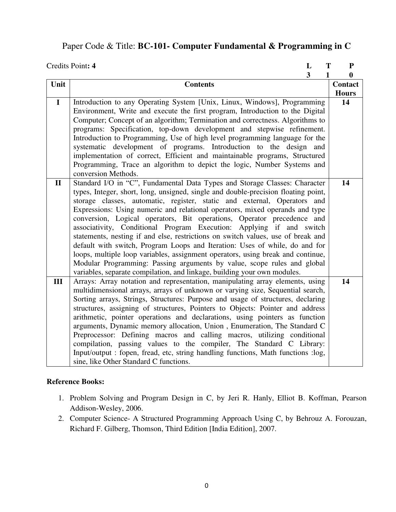## Paper Code & Title: **BC-101- Computer Fundamental & Programming in C**

|              | Credits Point: 4<br>L<br>T                                                                                                                              |   | ${\bf P}$    |
|--------------|---------------------------------------------------------------------------------------------------------------------------------------------------------|---|--------------|
|              |                                                                                                                                                         | 3 | 1<br>0       |
| Unit         | <b>Contents</b>                                                                                                                                         |   | Contact      |
|              |                                                                                                                                                         |   | <b>Hours</b> |
| $\mathbf I$  | Introduction to any Operating System [Unix, Linux, Windows], Programming                                                                                |   | 14           |
|              | Environment, Write and execute the first program, Introduction to the Digital                                                                           |   |              |
|              | Computer; Concept of an algorithm; Termination and correctness. Algorithms to                                                                           |   |              |
|              | programs: Specification, top-down development and stepwise refinement.                                                                                  |   |              |
|              | Introduction to Programming, Use of high level programming language for the                                                                             |   |              |
|              | systematic development of programs. Introduction to the design and                                                                                      |   |              |
|              | implementation of correct, Efficient and maintainable programs, Structured                                                                              |   |              |
|              | Programming, Trace an algorithm to depict the logic, Number Systems and                                                                                 |   |              |
|              | conversion Methods.                                                                                                                                     |   |              |
| $\mathbf{I}$ | Standard I/O in "C", Fundamental Data Types and Storage Classes: Character                                                                              |   | 14           |
|              | types, Integer, short, long, unsigned, single and double-precision floating point,                                                                      |   |              |
|              | storage classes, automatic, register, static and external, Operators and                                                                                |   |              |
|              | Expressions: Using numeric and relational operators, mixed operands and type                                                                            |   |              |
|              | conversion, Logical operators, Bit operations, Operator precedence and                                                                                  |   |              |
|              | associativity, Conditional Program Execution: Applying if and switch                                                                                    |   |              |
|              | statements, nesting if and else, restrictions on switch values, use of break and                                                                        |   |              |
|              | default with switch, Program Loops and Iteration: Uses of while, do and for                                                                             |   |              |
|              | loops, multiple loop variables, assignment operators, using break and continue,                                                                         |   |              |
|              | Modular Programming: Passing arguments by value, scope rules and global                                                                                 |   |              |
|              | variables, separate compilation, and linkage, building your own modules.                                                                                |   |              |
| III          | Arrays: Array notation and representation, manipulating array elements, using                                                                           |   | 14           |
|              | multidimensional arrays, arrays of unknown or varying size, Sequential search,                                                                          |   |              |
|              | Sorting arrays, Strings, Structures: Purpose and usage of structures, declaring                                                                         |   |              |
|              | structures, assigning of structures, Pointers to Objects: Pointer and address                                                                           |   |              |
|              | arithmetic, pointer operations and declarations, using pointers as function<br>arguments, Dynamic memory allocation, Union, Enumeration, The Standard C |   |              |
|              | Preprocessor: Defining macros and calling macros, utilizing conditional                                                                                 |   |              |
|              | compilation, passing values to the compiler, The Standard C Library:                                                                                    |   |              |
|              | Input/output : fopen, fread, etc, string handling functions, Math functions :log,                                                                       |   |              |
|              | sine, like Other Standard C functions.                                                                                                                  |   |              |
|              |                                                                                                                                                         |   |              |

- 1. Problem Solving and Program Design in C, by Jeri R. Hanly, Elliot B. Koffman, Pearson Addison-Wesley, 2006.
- 2. Computer Science- A Structured Programming Approach Using C, by Behrouz A. Forouzan, Richard F. Gilberg, Thomson, Third Edition [India Edition], 2007.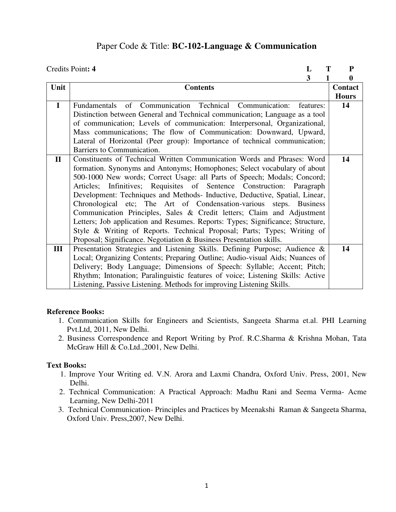### Paper Code & Title: **BC-102-Language & Communication**

|              | Credits Point: 4<br>T<br>L                                                     | ${\bf P}$        |
|--------------|--------------------------------------------------------------------------------|------------------|
|              | 3                                                                              | $\boldsymbol{0}$ |
| Unit         | <b>Contents</b>                                                                | Contact          |
|              |                                                                                | <b>Hours</b>     |
| $\mathbf I$  | of Communication Technical<br>Communication:<br>Fundamentals<br>features:      | 14               |
|              | Distinction between General and Technical communication; Language as a tool    |                  |
|              | of communication; Levels of communication: Interpersonal, Organizational,      |                  |
|              | Mass communications; The flow of Communication: Downward, Upward,              |                  |
|              | Lateral of Horizontal (Peer group): Importance of technical communication;     |                  |
|              | Barriers to Communication.                                                     |                  |
| $\mathbf{I}$ | Constituents of Technical Written Communication Words and Phrases: Word        | 14               |
|              | formation. Synonyms and Antonyms; Homophones; Select vocabulary of about       |                  |
|              | 500-1000 New words; Correct Usage: all Parts of Speech; Modals; Concord;       |                  |
|              | Articles; Infinitives; Requisites of Sentence Construction: Paragraph          |                  |
|              | Development: Techniques and Methods- Inductive, Deductive, Spatial, Linear,    |                  |
|              | Chronological etc; The Art of Condensation-various steps. Business             |                  |
|              | Communication Principles, Sales & Credit letters; Claim and Adjustment         |                  |
|              | Letters; Job application and Resumes. Reports: Types; Significance; Structure, |                  |
|              | Style & Writing of Reports. Technical Proposal; Parts; Types; Writing of       |                  |
|              | Proposal; Significance. Negotiation & Business Presentation skills.            |                  |
| Ш            | Presentation Strategies and Listening Skills. Defining Purpose; Audience &     | 14               |
|              | Local; Organizing Contents; Preparing Outline; Audio-visual Aids; Nuances of   |                  |
|              | Delivery; Body Language; Dimensions of Speech: Syllable; Accent; Pitch;        |                  |
|              | Rhythm; Intonation; Paralinguistic features of voice; Listening Skills: Active |                  |
|              | Listening, Passive Listening. Methods for improving Listening Skills.          |                  |
|              |                                                                                |                  |

### **Reference Books:**

- 1. Communication Skills for Engineers and Scientists, Sangeeta Sharma et.al. PHI Learning Pvt.Ltd, 2011, New Delhi.
- 2. Business Correspondence and Report Writing by Prof. R.C.Sharma & Krishna Mohan, Tata McGraw Hill & Co.Ltd.,2001, New Delhi.

### **Text Books:**

- 1. Improve Your Writing ed. V.N. Arora and Laxmi Chandra, Oxford Univ. Press, 2001, New Delhi.
- 2. Technical Communication: A Practical Approach: Madhu Rani and Seema Verma- Acme Learning, New Delhi-2011
- 3. Technical Communication- Principles and Practices by Meenakshi Raman & Sangeeta Sharma, Oxford Univ. Press,2007, New Delhi.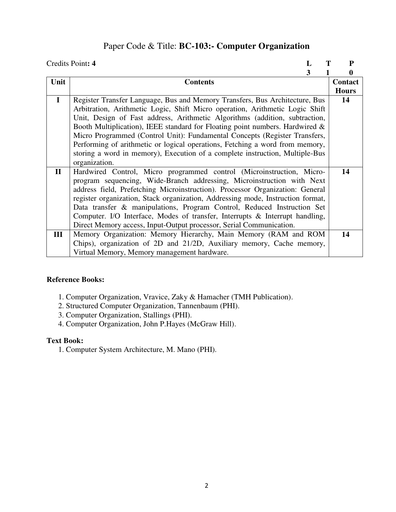## Paper Code & Title: **BC-103:- Computer Organization**

|              | Credits Point: 4                                                                | P            |
|--------------|---------------------------------------------------------------------------------|--------------|
|              | 3                                                                               | 0            |
| Unit         | <b>Contents</b>                                                                 | Contact      |
|              |                                                                                 | <b>Hours</b> |
| $\mathbf{I}$ | Register Transfer Language, Bus and Memory Transfers, Bus Architecture, Bus     | 14           |
|              | Arbitration, Arithmetic Logic, Shift Micro operation, Arithmetic Logic Shift    |              |
|              | Unit, Design of Fast address, Arithmetic Algorithms (addition, subtraction,     |              |
|              | Booth Multiplication), IEEE standard for Floating point numbers. Hardwired $\&$ |              |
|              | Micro Programmed (Control Unit): Fundamental Concepts (Register Transfers,      |              |
|              | Performing of arithmetic or logical operations, Fetching a word from memory,    |              |
|              | storing a word in memory), Execution of a complete instruction, Multiple-Bus    |              |
|              | organization.                                                                   |              |
| $\mathbf{I}$ | Hardwired Control, Micro programmed control (Microinstruction, Micro-           | 14           |
|              | program sequencing, Wide-Branch addressing, Microinstruction with Next          |              |
|              | address field, Prefetching Microinstruction). Processor Organization: General   |              |
|              | register organization, Stack organization, Addressing mode, Instruction format, |              |
|              | Data transfer & manipulations, Program Control, Reduced Instruction Set         |              |
|              | Computer. I/O Interface, Modes of transfer, Interrupts & Interrupt handling,    |              |
|              | Direct Memory access, Input-Output processor, Serial Communication.             |              |
| III          | Memory Organization: Memory Hierarchy, Main Memory (RAM and ROM                 | 14           |
|              | Chips), organization of 2D and 21/2D, Auxiliary memory, Cache memory,           |              |
|              | Virtual Memory, Memory management hardware.                                     |              |

### **Reference Books:**

- 1. Computer Organization, Vravice, Zaky & Hamacher (TMH Publication).
- 2. Structured Computer Organization, Tannenbaum (PHI).
- 3. Computer Organization, Stallings (PHI).
- 4. Computer Organization, John P.Hayes (McGraw Hill).

### **Text Book:**

1. Computer System Architecture, M. Mano (PHI).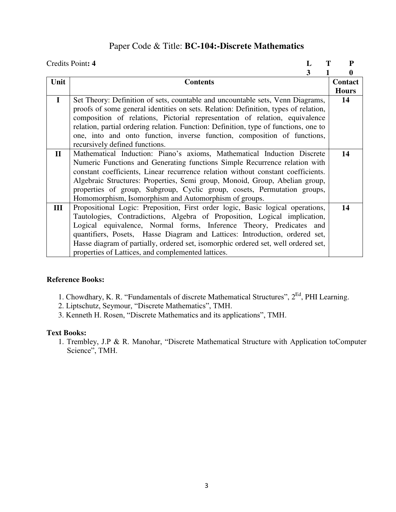## Paper Code & Title: **BC-104:-Discrete Mathematics**

|              | Credits Point: 4                                                                     | P            |
|--------------|--------------------------------------------------------------------------------------|--------------|
|              | 3                                                                                    | 0            |
| Unit         | <b>Contents</b>                                                                      | Contact      |
|              |                                                                                      | <b>Hours</b> |
| $\mathbf I$  | Set Theory: Definition of sets, countable and uncountable sets, Venn Diagrams,       | 14           |
|              | proofs of some general identities on sets. Relation: Definition, types of relation,  |              |
|              | composition of relations, Pictorial representation of relation, equivalence          |              |
|              | relation, partial ordering relation. Function: Definition, type of functions, one to |              |
|              | one, into and onto function, inverse function, composition of functions,             |              |
|              | recursively defined functions.                                                       |              |
| $\mathbf{I}$ | Mathematical Induction: Piano's axioms, Mathematical Induction Discrete              | 14           |
|              | Numeric Functions and Generating functions Simple Recurrence relation with           |              |
|              | constant coefficients, Linear recurrence relation without constant coefficients.     |              |
|              | Algebraic Structures: Properties, Semi group, Monoid, Group, Abelian group,          |              |
|              | properties of group, Subgroup, Cyclic group, cosets, Permutation groups,             |              |
|              | Homomorphism, Isomorphism and Automorphism of groups.                                |              |
| III          | Propositional Logic: Preposition, First order logic, Basic logical operations,       | 14           |
|              | Tautologies, Contradictions, Algebra of Proposition, Logical implication,            |              |
|              | Logical equivalence, Normal forms, Inference Theory, Predicates and                  |              |
|              | quantifiers, Posets, Hasse Diagram and Lattices: Introduction, ordered set,          |              |
|              | Hasse diagram of partially, ordered set, isomorphic ordered set, well ordered set,   |              |
|              | properties of Lattices, and complemented lattices.                                   |              |

### **Reference Books:**

- 1. Chowdhary, K. R. "Fundamentals of discrete Mathematical Structures", 2Ed, PHI Learning.
- 2. Liptschutz, Seymour, "Discrete Mathematics", TMH.
- 3. Kenneth H. Rosen, "Discrete Mathematics and its applications", TMH.

### **Text Books:**

1. Trembley, J.P & R. Manohar, "Discrete Mathematical Structure with Application toComputer Science", TMH.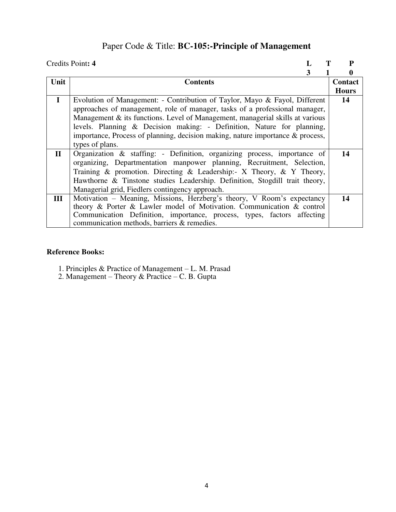# Paper Code & Title: **BC-105:-Principle of Management**

|              | Credits Point: 4                                                               | P            |
|--------------|--------------------------------------------------------------------------------|--------------|
|              | 3                                                                              | 0            |
| Unit         | <b>Contents</b>                                                                | Contact      |
|              |                                                                                | <b>Hours</b> |
| $\bf{I}$     | Evolution of Management: - Contribution of Taylor, Mayo & Fayol, Different     | 14           |
|              | approaches of management, role of manager, tasks of a professional manager,    |              |
|              | Management & its functions. Level of Management, managerial skills at various  |              |
|              | levels. Planning & Decision making: - Definition, Nature for planning,         |              |
|              | importance, Process of planning, decision making, nature importance & process, |              |
|              | types of plans.                                                                |              |
| $\mathbf{I}$ | Organization & staffing: - Definition, organizing process, importance of       | 14           |
|              | organizing, Departmentation manpower planning, Recruitment, Selection,         |              |
|              | Training & promotion. Directing & Leadership:- X Theory, & Y Theory,           |              |
|              | Hawthorne & Tinstone studies Leadership. Definition, Stogdill trait theory,    |              |
|              | Managerial grid, Fiedlers contingency approach.                                |              |
| III          | Motivation – Meaning, Missions, Herzberg's theory, V Room's expectancy         | 14           |
|              | theory & Porter & Lawler model of Motivation. Communication & control          |              |
|              | Communication Definition, importance, process, types, factors affecting        |              |
|              | communication methods, barriers & remedies.                                    |              |

- 1. Principles & Practice of Management L. M. Prasad
- 2. Management Theory & Practice C. B. Gupta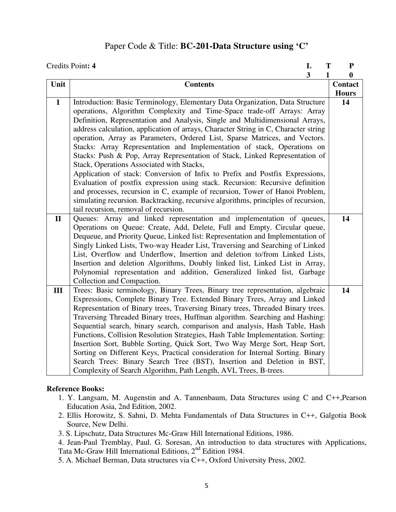### Paper Code & Title: **BC-201-Data Structure using 'C'**

|              | Credits Point: 4<br>L                                                                                                                              | T<br>${\bf P}$        |
|--------------|----------------------------------------------------------------------------------------------------------------------------------------------------|-----------------------|
|              | 3                                                                                                                                                  | 1<br>$\boldsymbol{0}$ |
| Unit         | <b>Contents</b>                                                                                                                                    | <b>Contact</b>        |
|              |                                                                                                                                                    | <b>Hours</b>          |
| $\mathbf I$  | Introduction: Basic Terminology, Elementary Data Organization, Data Structure                                                                      | 14                    |
|              | operations, Algorithm Complexity and Time-Space trade-off Arrays: Array                                                                            |                       |
|              | Definition, Representation and Analysis, Single and Multidimensional Arrays,                                                                       |                       |
|              | address calculation, application of arrays, Character String in C, Character string                                                                |                       |
|              | operation, Array as Parameters, Ordered List, Sparse Matrices, and Vectors.                                                                        |                       |
|              | Stacks: Array Representation and Implementation of stack, Operations on                                                                            |                       |
|              | Stacks: Push & Pop, Array Representation of Stack, Linked Representation of                                                                        |                       |
|              | Stack, Operations Associated with Stacks,                                                                                                          |                       |
|              | Application of stack: Conversion of Infix to Prefix and Postfix Expressions,                                                                       |                       |
|              | Evaluation of postfix expression using stack. Recursion: Recursive definition                                                                      |                       |
|              | and processes, recursion in C, example of recursion, Tower of Hanoi Problem,                                                                       |                       |
|              | simulating recursion. Backtracking, recursive algorithms, principles of recursion,                                                                 |                       |
| $\mathbf{I}$ | tail recursion, removal of recursion.                                                                                                              | 14                    |
|              | Queues: Array and linked representation and implementation of queues,<br>Operations on Queue: Create, Add, Delete, Full and Empty. Circular queue, |                       |
|              | Dequeue, and Priority Queue, Linked list: Representation and Implementation of                                                                     |                       |
|              | Singly Linked Lists, Two-way Header List, Traversing and Searching of Linked                                                                       |                       |
|              | List, Overflow and Underflow, Insertion and deletion to/from Linked Lists,                                                                         |                       |
|              | Insertion and deletion Algorithms, Doubly linked list, Linked List in Array,                                                                       |                       |
|              | Polynomial representation and addition, Generalized linked list, Garbage                                                                           |                       |
|              | Collection and Compaction.                                                                                                                         |                       |
| III          | Trees: Basic terminology, Binary Trees, Binary tree representation, algebraic                                                                      | 14                    |
|              | Expressions, Complete Binary Tree. Extended Binary Trees, Array and Linked                                                                         |                       |
|              | Representation of Binary trees, Traversing Binary trees, Threaded Binary trees.                                                                    |                       |
|              | Traversing Threaded Binary trees, Huffman algorithm. Searching and Hashing:                                                                        |                       |
|              | Sequential search, binary search, comparison and analysis, Hash Table, Hash                                                                        |                       |
|              | Functions, Collision Resolution Strategies, Hash Table Implementation. Sorting:                                                                    |                       |
|              | Insertion Sort, Bubble Sorting, Quick Sort, Two Way Merge Sort, Heap Sort,                                                                         |                       |
|              | Sorting on Different Keys, Practical consideration for Internal Sorting. Binary                                                                    |                       |
|              | Search Trees: Binary Search Tree (BST), Insertion and Deletion in BST,                                                                             |                       |
|              | Complexity of Search Algorithm, Path Length, AVL Trees, B-trees.                                                                                   |                       |

- 1. Y. Langsam, M. Augenstin and A. Tannenbaum, Data Structures using C and C++,Pearson Education Asia, 2nd Edition, 2002.
- 2. Ellis Horowitz, S. Sahni, D. Mehta Fundamentals of Data Structures in C++, Galgotia Book Source, New Delhi.
- 3. S. Lipschutz, Data Structures Mc-Graw Hill International Editions, 1986.
- 4. Jean-Paul Tremblay, Paul. G. Soresan, An introduction to data structures with Applications, Tata Mc-Graw Hill International Editions, 2nd Edition 1984.
- 5. A. Michael Berman, Data structures via C++, Oxford University Press, 2002.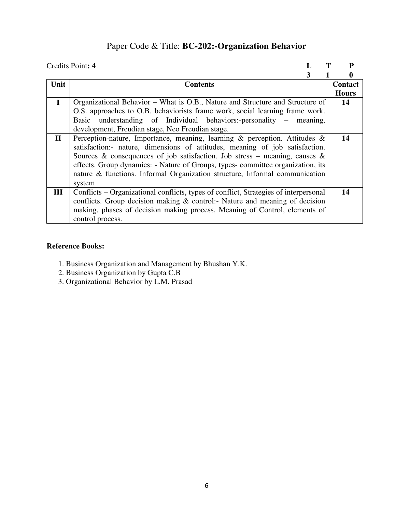## Paper Code & Title: **BC-202:-Organization Behavior**

|              | Credits Point: 4                                                                     | P            |
|--------------|--------------------------------------------------------------------------------------|--------------|
|              | 3                                                                                    | O            |
| Unit         | <b>Contents</b>                                                                      | Contact      |
|              |                                                                                      | <b>Hours</b> |
| $\mathbf{I}$ | Organizational Behavior – What is O.B., Nature and Structure and Structure of        | 14           |
|              | O.S. approaches to O.B. behaviorists frame work, social learning frame work.         |              |
|              | Basic understanding of Individual behaviors:-personality – meaning,                  |              |
|              | development, Freudian stage, Neo Freudian stage.                                     |              |
| $\mathbf{I}$ | Perception-nature, Importance, meaning, learning & perception. Attitudes &           | 14           |
|              | satisfaction:- nature, dimensions of attitudes, meaning of job satisfaction.         |              |
|              | Sources & consequences of job satisfaction. Job stress – meaning, causes &           |              |
|              | effects. Group dynamics: - Nature of Groups, types- committee organization, its      |              |
|              | nature & functions. Informal Organization structure, Informal communication          |              |
|              | system                                                                               |              |
| Ш            | Conflicts - Organizational conflicts, types of conflict, Strategies of interpersonal | 14           |
|              | conflicts. Group decision making $\&$ control:- Nature and meaning of decision       |              |
|              | making, phases of decision making process, Meaning of Control, elements of           |              |
|              | control process.                                                                     |              |

- 1. Business Organization and Management by Bhushan Y.K.
- 2. Business Organization by Gupta C.B
- 3. Organizational Behavior by L.M. Prasad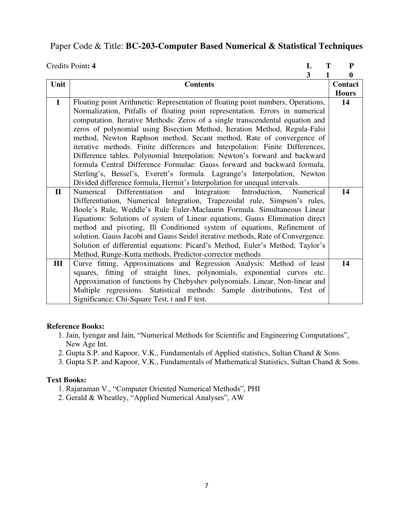### Paper Code & Title: **BC-203-Computer Based Numerical & Statistical Techniques**

|              | Credits Point: 4<br>T<br>L                                                        | ${\bf P}$      |
|--------------|-----------------------------------------------------------------------------------|----------------|
|              | 3<br>1                                                                            | $\bf{0}$       |
| Unit         | <b>Contents</b>                                                                   | <b>Contact</b> |
|              |                                                                                   | <b>Hours</b>   |
| $\mathbf{I}$ | Floating point Arithmetic: Representation of floating point numbers, Operations,  | 14             |
|              | Normalization, Pitfalls of floating point representation. Errors in numerical     |                |
|              | computation. Iterative Methods: Zeros of a single transcendental equation and     |                |
|              | zeros of polynomial using Bisection Method, Iteration Method, Regula-Falsi        |                |
|              | method, Newton Raphson method, Secant method, Rate of convergence of              |                |
|              | iterative methods. Finite differences and Interpolation: Finite Differences,      |                |
|              | Difference tables. Polynomial Interpolation: Newton's forward and backward        |                |
|              | formula Central Difference Formulae: Gauss forward and backward formula,          |                |
|              | Sterling's, Bessel's, Everett's formula. Lagrange's Interpolation, Newton         |                |
|              | Divided difference formula, Hermit's Interpolation for unequal intervals.         |                |
| $\mathbf{I}$ | Differentiation<br>Integration:<br>Numerical<br>and<br>Introduction,<br>Numerical | 14             |
|              | Differentiation, Numerical Integration, Trapezoidal rule, Simpson's rules,        |                |
|              | Boole's Rule, Weddle's Rule Euler-Maclaurin Formula. Simultaneous Linear          |                |
|              | Equations: Solutions of system of Linear equations, Gauss Elimination direct      |                |
|              | method and pivoting, Ill Conditioned system of equations, Refinement of           |                |
|              | solution. Gauss Jacobi and Gauss Seidel iterative methods, Rate of Convergence.   |                |
|              | Solution of differential equations: Picard's Method, Euler's Method, Taylor's     |                |
|              | Method, Runge-Kutta methods, Predictor-corrector methods                          |                |
| III          | Curve fitting, Approximations and Regression Analysis: Method of least            | 14             |
|              | squares, fitting of straight lines, polynomials, exponential curves etc.          |                |
|              | Approximation of functions by Chebyshev polynomials. Linear, Non-linear and       |                |
|              | Multiple regressions. Statistical methods: Sample distributions, Test of          |                |
|              | Significance: Chi-Square Test, t and F test.                                      |                |

### **Reference Books:**

- 1. Jain, Iyengar and Jain, "Numerical Methods for Scientific and Engineering Computations", New Age Int.
- 2. Gupta S.P. and Kapoor, V.K., Fundamentals of Applied statistics, Sultan Chand & Sons.
- 3. Gupta S.P. and Kapoor, V.K., Fundamentals of Mathematical Statistics, Sultan Chand & Sons.

### **Text Books:**

- 1. Rajaraman V., "Computer Oriented Numerical Methods", PHI
- 2. Gerald & Wheatley, "Applied Numerical Analyses", AW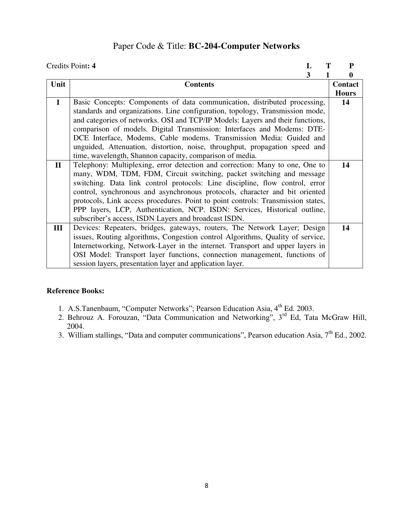## Paper Code & Title: **BC-204-Computer Networks**

|              | Credits Point: 4<br>L                                                            | P            |
|--------------|----------------------------------------------------------------------------------|--------------|
|              | 3                                                                                | 0            |
| Unit         | <b>Contents</b>                                                                  | Contact      |
|              |                                                                                  | <b>Hours</b> |
| $\mathbf I$  | Basic Concepts: Components of data communication, distributed processing,        | 14           |
|              | standards and organizations. Line configuration, topology, Transmission mode,    |              |
|              | and categories of networks. OSI and TCP/IP Models: Layers and their functions,   |              |
|              | comparison of models. Digital Transmission: Interfaces and Modems: DTE-          |              |
|              | DCE Interface, Modems, Cable modems. Transmission Media: Guided and              |              |
|              | unguided, Attenuation, distortion, noise, throughput, propagation speed and      |              |
|              | time, wavelength, Shannon capacity, comparison of media.                         |              |
| $\mathbf{I}$ | Telephony: Multiplexing, error detection and correction: Many to one, One to     | 14           |
|              | many, WDM, TDM, FDM, Circuit switching, packet switching and message             |              |
|              | switching. Data link control protocols: Line discipline, flow control, error     |              |
|              | control, synchronous and asynchronous protocols, character and bit oriented      |              |
|              | protocols, Link access procedures. Point to point controls: Transmission states, |              |
|              | PPP layers, LCP, Authentication, NCP. ISDN: Services, Historical outline,        |              |
|              | subscriber's access, ISDN Layers and broadcast ISDN.                             |              |
| III          | Devices: Repeaters, bridges, gateways, routers, The Network Layer; Design        | 14           |
|              | issues, Routing algorithms, Congestion control Algorithms, Quality of service,   |              |
|              | Internetworking, Network-Layer in the internet. Transport and upper layers in    |              |
|              | OSI Model: Transport layer functions, connection management, functions of        |              |
|              | session layers, presentation layer and application layer.                        |              |

- 1. A.S.Tanenbaum, "Computer Networks"; Pearson Education Asia, 4<sup>th</sup> Ed. 2003.
- 2. Behrouz A. Forouzan, "Data Communication and Networking", 3<sup>rd</sup> Ed, Tata McGraw Hill, 2004.
- 3. William stallings, "Data and computer communications", Pearson education Asia, 7<sup>th</sup> Ed., 2002.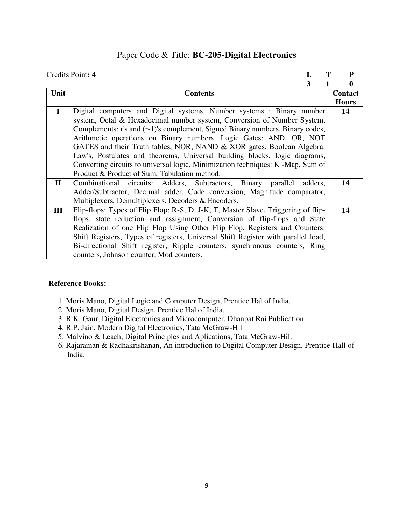## Paper Code & Title: **BC-205-Digital Electronics**

|              | Credits Point: 4                                                                  | P            |
|--------------|-----------------------------------------------------------------------------------|--------------|
|              | 3                                                                                 | 0            |
| Unit         | <b>Contents</b>                                                                   | Contact      |
|              |                                                                                   | <b>Hours</b> |
| $\mathbf I$  | Digital computers and Digital systems, Number systems : Binary number             | 14           |
|              | system, Octal & Hexadecimal number system, Conversion of Number System,           |              |
|              | Complements: r's and (r-1)'s complement, Signed Binary numbers, Binary codes,     |              |
|              | Arithmetic operations on Binary numbers. Logic Gates: AND, OR, NOT                |              |
|              | GATES and their Truth tables, NOR, NAND & XOR gates. Boolean Algebra:             |              |
|              | Law's, Postulates and theorems, Universal building blocks, logic diagrams,        |              |
|              | Converting circuits to universal logic, Minimization techniques: K -Map, Sum of   |              |
|              | Product & Product of Sum, Tabulation method.                                      |              |
| $\mathbf{I}$ | Combinational circuits: Adders, Subtractors, Binary parallel<br>adders,           | 14           |
|              | Adder/Subtractor, Decimal adder, Code conversion, Magnitude comparator,           |              |
|              | Multiplexers, Demultiplexers, Decoders & Encoders.                                |              |
| III          | Flip-flops: Types of Flip Flop: R-S, D, J-K, T, Master Slave, Triggering of flip- | 14           |
|              | flops, state reduction and assignment, Conversion of flip-flops and State         |              |
|              | Realization of one Flip Flop Using Other Flip Flop. Registers and Counters:       |              |
|              | Shift Registers, Types of registers, Universal Shift Register with parallel load, |              |
|              | Bi-directional Shift register, Ripple counters, synchronous counters, Ring        |              |
|              | counters, Johnson counter, Mod counters.                                          |              |

- 1. Moris Mano, Digital Logic and Computer Design, Prentice Hal of India.
- 2. Moris Mano, Digital Design, Prentice Hal of India.
- 3. R.K. Gaur, Digital Electronics and Microcomputer, Dhanpat Rai Publication
- 4. R.P. Jain, Modern Digital Electronics, Tata McGraw-Hil
- 5. Malvino & Leach, Digital Principles and Aplications, Tata McGraw-Hil.
- 6. Rajaraman & Radhakrishanan, An introduction to Digital Computer Design, Prentice Hall of India.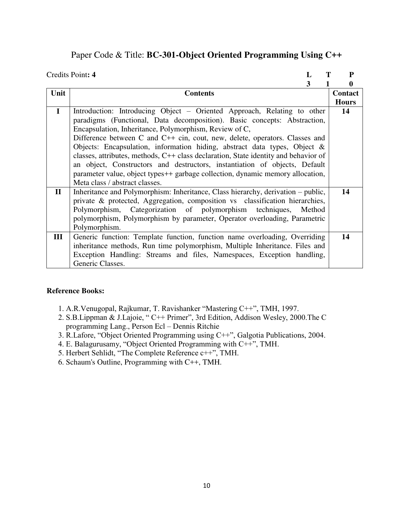## Paper Code & Title: **BC-301-Object Oriented Programming Using C++**

|              | Credits Point: 4<br>L                                                                      | P            |
|--------------|--------------------------------------------------------------------------------------------|--------------|
|              | 3                                                                                          | 0            |
| Unit         | <b>Contents</b>                                                                            | Contact      |
|              |                                                                                            | <b>Hours</b> |
| $\mathbf I$  | Introduction: Introducing Object – Oriented Approach, Relating to other                    | 14           |
|              | paradigms (Functional, Data decomposition). Basic concepts: Abstraction,                   |              |
|              | Encapsulation, Inheritance, Polymorphism, Review of C,                                     |              |
|              | Difference between C and C++ cin, cout, new, delete, operators. Classes and                |              |
|              | Objects: Encapsulation, information hiding, abstract data types, Object &                  |              |
|              | classes, attributes, methods, C++ class declaration, State identity and behavior of        |              |
|              | an object, Constructors and destructors, instantiation of objects, Default                 |              |
|              | parameter value, object types <sup>++</sup> garbage collection, dynamic memory allocation, |              |
|              | Meta class / abstract classes.                                                             |              |
| $\mathbf{I}$ | Inheritance and Polymorphism: Inheritance, Class hierarchy, derivation – public,           | 14           |
|              | private & protected, Aggregation, composition vs classification hierarchies,               |              |
|              | Polymorphism, Categorization of polymorphism techniques,<br>Method                         |              |
|              | polymorphism, Polymorphism by parameter, Operator overloading, Parametric                  |              |
|              | Polymorphism.                                                                              |              |
| III          | Generic function: Template function, function name overloading, Overriding                 | 14           |
|              | inheritance methods, Run time polymorphism, Multiple Inheritance. Files and                |              |
|              | Exception Handling: Streams and files, Namespaces, Exception handling,                     |              |
|              | Generic Classes.                                                                           |              |

- 1. A.R.Venugopal, Rajkumar, T. Ravishanker "Mastering C++", TMH, 1997.
- 2. S.B.Lippman & J.Lajoie, " C++ Primer", 3rd Edition, Addison Wesley, 2000.The C programming Lang., Person Ecl – Dennis Ritchie
- 3. R.Lafore, "Object Oriented Programming using C++", Galgotia Publications, 2004.
- 4. E. Balagurusamy, "Object Oriented Programming with C++", TMH.
- 5. Herbert Sehlidt, "The Complete Reference c++", TMH.
- 6. Schaum's Outline, Programming with C++, TMH.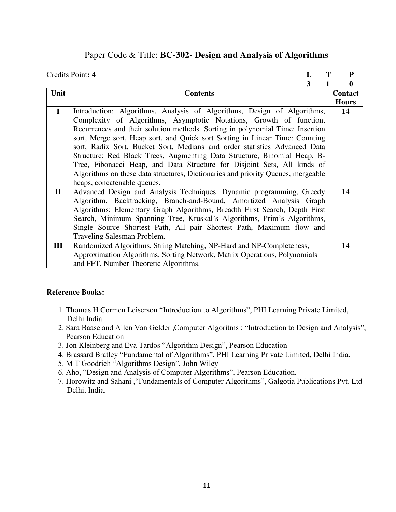## Paper Code & Title: **BC-302- Design and Analysis of Algorithms**

|              | Credits Point: 4                                                                 | P            |
|--------------|----------------------------------------------------------------------------------|--------------|
|              | 3                                                                                | 0            |
| Unit         | <b>Contents</b>                                                                  | Contact      |
|              |                                                                                  | <b>Hours</b> |
| $\mathbf I$  | Introduction: Algorithms, Analysis of Algorithms, Design of Algorithms,          | 14           |
|              | Complexity of Algorithms, Asymptotic Notations, Growth of function,              |              |
|              | Recurrences and their solution methods. Sorting in polynomial Time: Insertion    |              |
|              | sort, Merge sort, Heap sort, and Quick sort Sorting in Linear Time: Counting     |              |
|              | sort, Radix Sort, Bucket Sort, Medians and order statistics Advanced Data        |              |
|              | Structure: Red Black Trees, Augmenting Data Structure, Binomial Heap, B-         |              |
|              | Tree, Fibonacci Heap, and Data Structure for Disjoint Sets, All kinds of         |              |
|              | Algorithms on these data structures, Dictionaries and priority Queues, mergeable |              |
|              | heaps, concatenable queues.                                                      |              |
| $\mathbf{I}$ | Advanced Design and Analysis Techniques: Dynamic programming, Greedy             | 14           |
|              | Algorithm, Backtracking, Branch-and-Bound, Amortized Analysis Graph              |              |
|              | Algorithms: Elementary Graph Algorithms, Breadth First Search, Depth First       |              |
|              | Search, Minimum Spanning Tree, Kruskal's Algorithms, Prim's Algorithms,          |              |
|              | Single Source Shortest Path, All pair Shortest Path, Maximum flow and            |              |
|              | <b>Traveling Salesman Problem.</b>                                               |              |
| III          | Randomized Algorithms, String Matching, NP-Hard and NP-Completeness,             | 14           |
|              | Approximation Algorithms, Sorting Network, Matrix Operations, Polynomials        |              |
|              | and FFT, Number Theoretic Algorithms.                                            |              |

- 1. Thomas H Cormen Leiserson "Introduction to Algorithms", PHI Learning Private Limited, Delhi India.
- 2. Sara Baase and Allen Van Gelder ,Computer Algoritms : "Introduction to Design and Analysis", Pearson Education
- 3. Jon Kleinberg and Eva Tardos "Algorithm Design", Pearson Education
- 4. Brassard Bratley "Fundamental of Algorithms", PHI Learning Private Limited, Delhi India.
- 5. M T Goodrich "Algorithms Design", John Wiley
- 6. Aho, "Design and Analysis of Computer Algorithms", Pearson Education.
- 7. Horowitz and Sahani ,"Fundamentals of Computer Algorithms", Galgotia Publications Pvt. Ltd Delhi, India.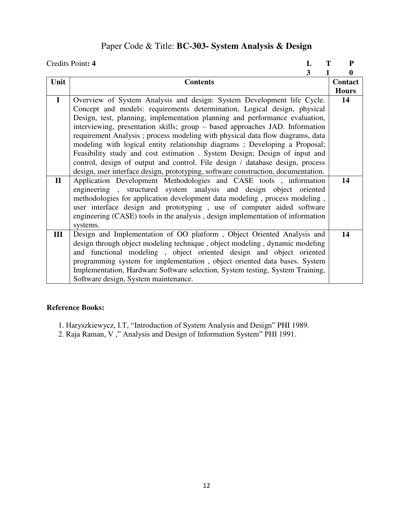# Paper Code & Title: **BC-303- System Analysis & Design**

|              | Credits Point: 4                                                                  | L | Т | ${\bf P}$    |
|--------------|-----------------------------------------------------------------------------------|---|---|--------------|
|              |                                                                                   | 3 |   | 0            |
| Unit         | <b>Contents</b>                                                                   |   |   | Contact      |
|              |                                                                                   |   |   | <b>Hours</b> |
| $\mathbf I$  | Overview of System Analysis and design: System Development life Cycle.            |   |   | 14           |
|              | Concept and models: requirements determination, Logical design, physical          |   |   |              |
|              | Design, test, planning, implementation planning and performance evaluation,       |   |   |              |
|              | interviewing, presentation skills; group - based approaches JAD. Information      |   |   |              |
|              | requirement Analysis; process modeling with physical data flow diagrams, data     |   |   |              |
|              | modeling with logical entity relationship diagrams; Developing a Proposal;        |   |   |              |
|              | Feasibility study and cost estimation. System Design; Design of input and         |   |   |              |
|              | control, design of output and control. File design / database design, process     |   |   |              |
|              | design, user interface design, prototyping, software construction, documentation. |   |   |              |
| $\mathbf{I}$ | Application Development Methodologies and CASE tools, information                 |   |   | 14           |
|              | engineering, structured system analysis and design object oriented                |   |   |              |
|              | methodologies for application development data modeling, process modeling,        |   |   |              |
|              | user interface design and prototyping, use of computer aided software             |   |   |              |
|              | engineering (CASE) tools in the analysis, design implementation of information    |   |   |              |
|              | systems.                                                                          |   |   |              |
| III          | Design and Implementation of OO platform, Object Oriented Analysis and            |   |   | 14           |
|              | design through object modeling technique, object modeling, dynamic modeling       |   |   |              |
|              | and functional modeling, object oriented design and object oriented               |   |   |              |
|              | programming system for implementation, object oriented data bases. System         |   |   |              |
|              | Implementation, Hardware Software selection, System testing, System Training,     |   |   |              |
|              | Software design, System maintenance.                                              |   |   |              |

- 1. Haryszkiewycz, I.T, "Introduction of System Analysis and Design" PHI 1989.
- 2. Raja Raman, V ," Analysis and Design of Information System" PHI 1991.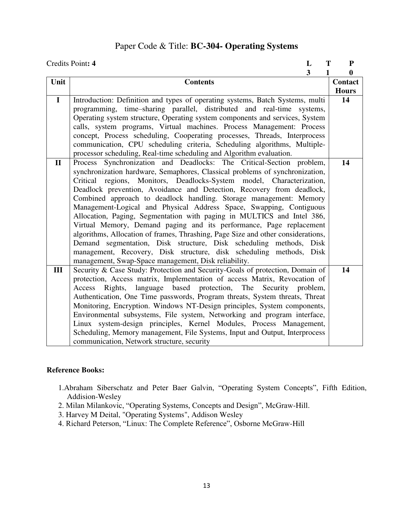## Paper Code & Title: **BC-304- Operating Systems**

|              | Credits Point: 4<br>L                                                            | T<br>${\bf P}$ |
|--------------|----------------------------------------------------------------------------------|----------------|
|              | $\overline{\mathbf{3}}$                                                          | 1<br>$\bf{0}$  |
| Unit         | <b>Contents</b>                                                                  | Contact        |
|              |                                                                                  | <b>Hours</b>   |
| $\mathbf{I}$ | Introduction: Definition and types of operating systems, Batch Systems, multi    | 14             |
|              | programming, time-sharing parallel, distributed and real-time systems,           |                |
|              | Operating system structure, Operating system components and services, System     |                |
|              | calls, system programs, Virtual machines. Process Management: Process            |                |
|              | concept, Process scheduling, Cooperating processes, Threads, Interprocess        |                |
|              | communication, CPU scheduling criteria, Scheduling algorithms, Multiple-         |                |
|              | processor scheduling, Real-time scheduling and Algorithm evaluation.             |                |
| $\mathbf{I}$ | Process Synchronization and Deadlocks: The Critical-Section problem,             | 14             |
|              | synchronization hardware, Semaphores, Classical problems of synchronization,     |                |
|              | Critical regions, Monitors, Deadlocks-System model, Characterization,            |                |
|              | Deadlock prevention, Avoidance and Detection, Recovery from deadlock,            |                |
|              | Combined approach to deadlock handling. Storage management: Memory               |                |
|              | Management-Logical and Physical Address Space, Swapping, Contiguous              |                |
|              | Allocation, Paging, Segmentation with paging in MULTICS and Intel 386,           |                |
|              | Virtual Memory, Demand paging and its performance, Page replacement              |                |
|              | algorithms, Allocation of frames, Thrashing, Page Size and other considerations, |                |
|              | Demand segmentation, Disk structure, Disk scheduling methods, Disk               |                |
|              | management, Recovery, Disk structure, disk scheduling methods, Disk              |                |
|              | management, Swap-Space management, Disk reliability.                             |                |
| III          | Security & Case Study: Protection and Security-Goals of protection, Domain of    | 14             |
|              | protection, Access matrix, Implementation of access Matrix, Revocation of        |                |
|              | language based protection, The Security problem,<br>Rights,<br>Access            |                |
|              | Authentication, One Time passwords, Program threats, System threats, Threat      |                |
|              | Monitoring, Encryption. Windows NT-Design principles, System components,         |                |
|              | Environmental subsystems, File system, Networking and program interface,         |                |
|              | Linux system-design principles, Kernel Modules, Process Management,              |                |
|              | Scheduling, Memory management, File Systems, Input and Output, Interprocess      |                |
|              | communication, Network structure, security                                       |                |

- 1.Abraham Siberschatz and Peter Baer Galvin, "Operating System Concepts", Fifth Edition, Addision-Wesley
- 2. Milan Milankovic, "Operating Systems, Concepts and Design", McGraw-Hill.
- 3. Harvey M Deital, "Operating Systems", Addison Wesley
- 4. Richard Peterson, "Linux: The Complete Reference", Osborne McGraw-Hill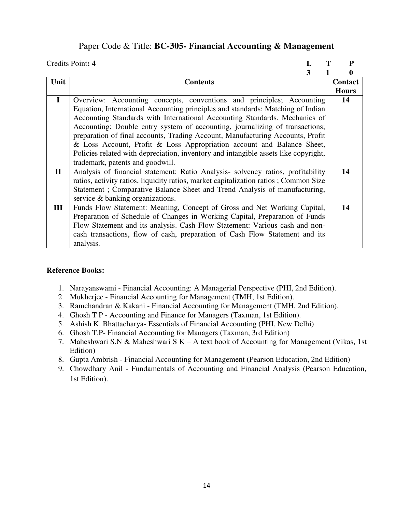### Paper Code & Title: **BC-305- Financial Accounting & Management**

|              | Credits Point: 4                                                                     |  | P            |
|--------------|--------------------------------------------------------------------------------------|--|--------------|
|              | 3                                                                                    |  | 0            |
| Unit         | <b>Contents</b>                                                                      |  | Contact      |
|              |                                                                                      |  | <b>Hours</b> |
| $\mathbf I$  | Overview: Accounting concepts, conventions and principles; Accounting                |  | 14           |
|              | Equation, International Accounting principles and standards; Matching of Indian      |  |              |
|              | Accounting Standards with International Accounting Standards. Mechanics of           |  |              |
|              | Accounting: Double entry system of accounting, journalizing of transactions;         |  |              |
|              | preparation of final accounts, Trading Account, Manufacturing Accounts, Profit       |  |              |
|              | & Loss Account, Profit & Loss Appropriation account and Balance Sheet,               |  |              |
|              | Policies related with depreciation, inventory and intangible assets like copyright,  |  |              |
|              | trademark, patents and goodwill.                                                     |  |              |
| $\mathbf{I}$ | Analysis of financial statement: Ratio Analysis-solvency ratios, profitability       |  | 14           |
|              | ratios, activity ratios, liquidity ratios, market capitalization ratios; Common Size |  |              |
|              | Statement; Comparative Balance Sheet and Trend Analysis of manufacturing,            |  |              |
|              | service & banking organizations.                                                     |  |              |
| Ш            | Funds Flow Statement: Meaning, Concept of Gross and Net Working Capital,             |  | 14           |
|              | Preparation of Schedule of Changes in Working Capital, Preparation of Funds          |  |              |
|              | Flow Statement and its analysis. Cash Flow Statement: Various cash and non-          |  |              |
|              | cash transactions, flow of cash, preparation of Cash Flow Statement and its          |  |              |
|              | analysis.                                                                            |  |              |

- 1. Narayanswami Financial Accounting: A Managerial Perspective (PHI, 2nd Edition).
- 2. Mukherjee Financial Accounting for Management (TMH, 1st Edition).
- 3. Ramchandran & Kakani Financial Accounting for Management (TMH, 2nd Edition).
- 4. Ghosh T P Accounting and Finance for Managers (Taxman, 1st Edition).
- 5. Ashish K. Bhattacharya- Essentials of Financial Accounting (PHI, New Delhi)
- 6. Ghosh T.P- Financial Accounting for Managers (Taxman, 3rd Edition)
- 7. Maheshwari S.N & Maheshwari S K A text book of Accounting for Management (Vikas, 1st Edition)
- 8. Gupta Ambrish Financial Accounting for Management (Pearson Education, 2nd Edition)
- 9. Chowdhary Anil Fundamentals of Accounting and Financial Analysis (Pearson Education, 1st Edition).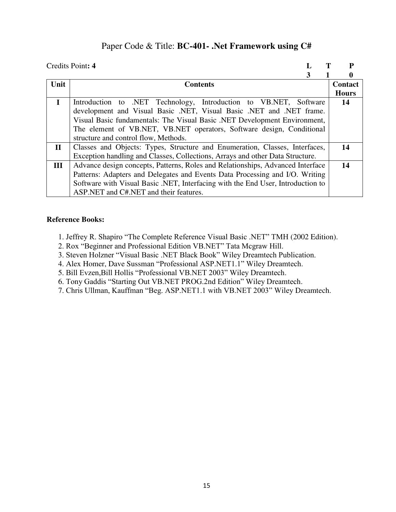### Paper Code & Title: **BC-401- .Net Framework using C#**

|              | Credits Point: 4                                                                | р              |
|--------------|---------------------------------------------------------------------------------|----------------|
|              | 3                                                                               | 0              |
| Unit         | <b>Contents</b>                                                                 | <b>Contact</b> |
|              |                                                                                 | <b>Hours</b>   |
| $\mathbf I$  | Introduction to .NET Technology, Introduction to VB.NET, Software               | 14             |
|              | development and Visual Basic .NET, Visual Basic .NET and .NET frame.            |                |
|              | Visual Basic fundamentals: The Visual Basic .NET Development Environment,       |                |
|              | The element of VB.NET, VB.NET operators, Software design, Conditional           |                |
|              | structure and control flow, Methods.                                            |                |
| $\mathbf{I}$ | Classes and Objects: Types, Structure and Enumeration, Classes, Interfaces,     | 14             |
|              | Exception handling and Classes, Collections, Arrays and other Data Structure.   |                |
| III          | Advance design concepts, Patterns, Roles and Relationships, Advanced Interface  | 14             |
|              | Patterns: Adapters and Delegates and Events Data Processing and I/O. Writing    |                |
|              | Software with Visual Basic .NET, Interfacing with the End User, Introduction to |                |
|              | ASP.NET and C#.NET and their features.                                          |                |

- 1. Jeffrey R. Shapiro "The Complete Reference Visual Basic .NET" TMH (2002 Edition).
- 2. Rox "Beginner and Professional Edition VB.NET" Tata Mcgraw Hill.
- 3. Steven Holzner "Visual Basic .NET Black Book" Wiley Dreamtech Publication.
- 4. Alex Homer, Dave Sussman "Professional ASP.NET1.1" Wiley Dreamtech.
- 5. Bill Evzen,Bill Hollis "Professional VB.NET 2003" Wiley Dreamtech.
- 6. Tony Gaddis "Starting Out VB.NET PROG.2nd Edition" Wiley Dreamtech.
- 7. Chris Ullman, Kauffman "Beg. ASP.NET1.1 with VB.NET 2003" Wiley Dreamtech.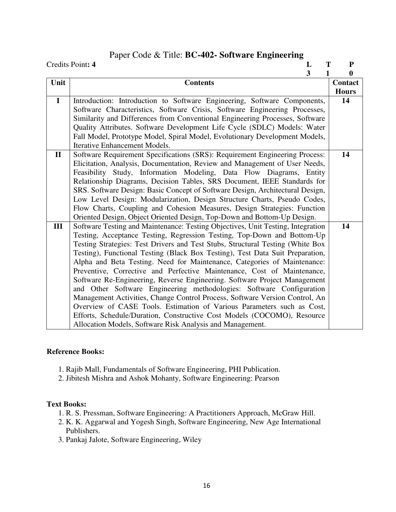## Paper Code & Title: **BC-402- Software Engineering**

|              | Credits Point: 4<br>T<br>L                                                      | ${\bf P}$      |
|--------------|---------------------------------------------------------------------------------|----------------|
|              | 3<br>1                                                                          | 0              |
| Unit         | <b>Contents</b>                                                                 | <b>Contact</b> |
|              |                                                                                 | <b>Hours</b>   |
| $\mathbf{I}$ | Introduction: Introduction to Software Engineering, Software Components,        | 14             |
|              | Software Characteristics, Software Crisis, Software Engineering Processes,      |                |
|              | Similarity and Differences from Conventional Engineering Processes, Software    |                |
|              | Quality Attributes. Software Development Life Cycle (SDLC) Models: Water        |                |
|              | Fall Model, Prototype Model, Spiral Model, Evolutionary Development Models,     |                |
|              | <b>Iterative Enhancement Models.</b>                                            |                |
| $\mathbf{I}$ | Software Requirement Specifications (SRS): Requirement Engineering Process:     | 14             |
|              | Elicitation, Analysis, Documentation, Review and Management of User Needs,      |                |
|              | Feasibility Study, Information Modeling, Data Flow Diagrams, Entity             |                |
|              | Relationship Diagrams, Decision Tables, SRS Document, IEEE Standards for        |                |
|              | SRS. Software Design: Basic Concept of Software Design, Architectural Design,   |                |
|              | Low Level Design: Modularization, Design Structure Charts, Pseudo Codes,        |                |
|              | Flow Charts, Coupling and Cohesion Measures, Design Strategies: Function        |                |
|              | Oriented Design, Object Oriented Design, Top-Down and Bottom-Up Design.         |                |
| III          | Software Testing and Maintenance: Testing Objectives, Unit Testing, Integration | 14             |
|              | Testing, Acceptance Testing, Regression Testing, Top-Down and Bottom-Up         |                |
|              | Testing Strategies: Test Drivers and Test Stubs, Structural Testing (White Box  |                |
|              | Testing), Functional Testing (Black Box Testing), Test Data Suit Preparation,   |                |
|              | Alpha and Beta Testing. Need for Maintenance, Categories of Maintenance:        |                |
|              | Preventive, Corrective and Perfective Maintenance, Cost of Maintenance,         |                |
|              | Software Re-Engineering, Reverse Engineering. Software Project Management       |                |
|              | and Other Software Engineering methodologies: Software Configuration            |                |
|              | Management Activities, Change Control Process, Software Version Control, An     |                |
|              | Overview of CASE Tools. Estimation of Various Parameters such as Cost,          |                |
|              | Efforts, Schedule/Duration, Constructive Cost Models (COCOMO), Resource         |                |
|              | Allocation Models, Software Risk Analysis and Management.                       |                |

### **Reference Books:**

- 1. Rajib Mall, Fundamentals of Software Engineering, PHI Publication.
- 2. Jibitesh Mishra and Ashok Mohanty, Software Engineering: Pearson

#### **Text Books:**

- 1. R. S. Pressman, Software Engineering: A Practitioners Approach, McGraw Hill.
- 2. K. K. Aggarwal and Yogesh Singh, Software Engineering, New Age International Publishers.
- 3. Pankaj Jalote, Software Engineering, Wiley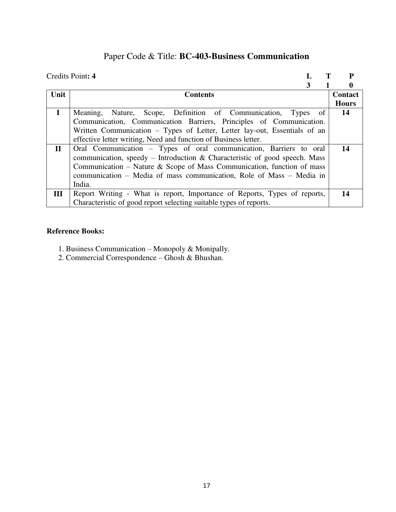# Paper Code & Title: **BC-403-Business Communication**

|              | Credits Point: 4                                                           |              |
|--------------|----------------------------------------------------------------------------|--------------|
|              |                                                                            |              |
| Unit         | <b>Contents</b>                                                            | Contact      |
|              |                                                                            | <b>Hours</b> |
| $\mathbf I$  | Meaning, Nature, Scope, Definition of Communication,<br>Types of           | 14           |
|              | Communication, Communication Barriers, Principles of Communication.        |              |
|              | Written Communication – Types of Letter, Letter lay-out, Essentials of an  |              |
|              | effective letter writing, Need and function of Business letter.            |              |
| $\mathbf{I}$ | Oral Communication - Types of oral communication, Barriers to oral         | 14           |
|              | communication, speedy – Introduction & Characteristic of good speech. Mass |              |
|              | Communication – Nature & Scope of Mass Communication, function of mass     |              |
|              | communication – Media of mass communication, Role of Mass – Media in       |              |
|              | India.                                                                     |              |
| III          | Report Writing - What is report, Importance of Reports, Types of reports,  | 14           |
|              | Characteristic of good report selecting suitable types of reports.         |              |

- 1. Business Communication Monopoly & Monipally.
- 2. Commercial Correspondence Ghosh & Bhushan.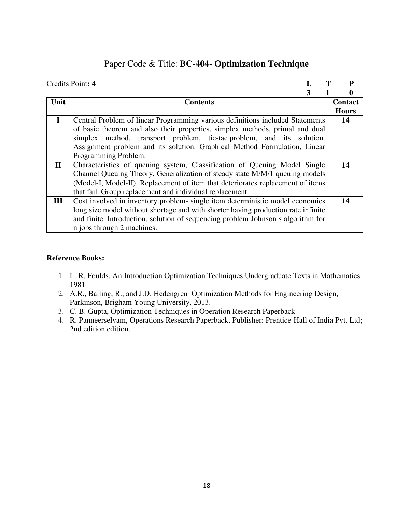## Paper Code & Title: **BC-404- Optimization Technique**

|              | Credits Point: 4                                                                  |  | P            |
|--------------|-----------------------------------------------------------------------------------|--|--------------|
|              | 3                                                                                 |  | 0            |
| Unit         | <b>Contents</b>                                                                   |  | Contact      |
|              |                                                                                   |  | <b>Hours</b> |
| $\mathbf{I}$ | Central Problem of linear Programming various definitions included Statements     |  | 14           |
|              | of basic theorem and also their properties, simplex methods, primal and dual      |  |              |
|              | simplex method, transport problem, tic-tac problem, and its solution.             |  |              |
|              | Assignment problem and its solution. Graphical Method Formulation, Linear         |  |              |
|              | Programming Problem.                                                              |  |              |
| $\mathbf{I}$ | Characteristics of queuing system, Classification of Queuing Model Single         |  | 14           |
|              | Channel Queuing Theory, Generalization of steady state M/M/1 queuing models       |  |              |
|              | (Model-I, Model-II). Replacement of item that deteriorates replacement of items   |  |              |
|              | that fail. Group replacement and individual replacement.                          |  |              |
| Ш            | Cost involved in inventory problem- single item deterministic model economics     |  | 14           |
|              | long size model without shortage and with shorter having production rate infinite |  |              |
|              | and finite. Introduction, solution of sequencing problem Johnson s algorithm for  |  |              |
|              | n jobs through 2 machines.                                                        |  |              |

- 1. [L. R. Foulds,](http://link.springer.com/search?facet-creator=%22L.+R.+Foulds%22) An Introduction Optimization Techniques [Undergraduate Texts in Mathematics](http://link.springer.com/bookseries/666)  1981
- 2. A.R., Balling, R., and J.D. Hedengren Optimization Methods for Engineering Design, Parkinson, Brigham Young University, 2013.
- 3. [C. B. Gupta,](http://www.amazon.in/s/ref=dp_byline_sr_book_1?ie=UTF8&field-author=C.+B.+Gupta&search-alias=stripbooks) Optimization Techniques in Operation Research Paperback
- 4. [R. Panneerselvam,](http://www.amazon.in/R.-Panneerselvam/e/B00J5A1YPQ/ref=dp_byline_cont_book_1) Operations Research Paperback, Publisher: Prentice-Hall of India Pvt. Ltd; 2nd edition edition.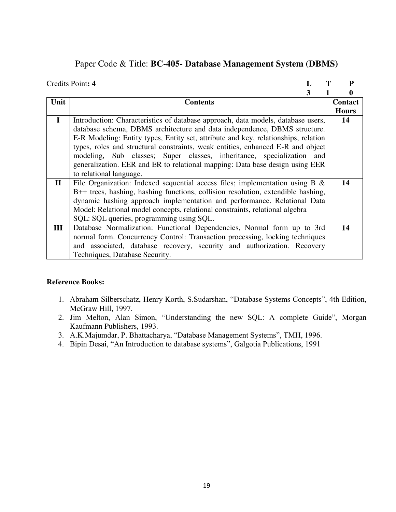## Paper Code & Title: **BC-405- Database Management System (DBMS)**

|              | Credits Point: 4                                                                   | P            |
|--------------|------------------------------------------------------------------------------------|--------------|
|              | 3                                                                                  | 0            |
| Unit         | <b>Contents</b>                                                                    | Contact      |
|              |                                                                                    | <b>Hours</b> |
| $\mathbf I$  | Introduction: Characteristics of database approach, data models, database users,   | 14           |
|              | database schema, DBMS architecture and data independence, DBMS structure.          |              |
|              | E-R Modeling: Entity types, Entity set, attribute and key, relationships, relation |              |
|              | types, roles and structural constraints, weak entities, enhanced E-R and object    |              |
|              | modeling, Sub classes; Super classes, inheritance, specialization and              |              |
|              | generalization. EER and ER to relational mapping: Data base design using EER       |              |
|              | to relational language.                                                            |              |
| $\mathbf{I}$ | File Organization: Indexed sequential access files; implementation using $B \&$    | 14           |
|              | B++ trees, hashing, hashing functions, collision resolution, extendible hashing,   |              |
|              | dynamic hashing approach implementation and performance. Relational Data           |              |
|              | Model: Relational model concepts, relational constraints, relational algebra       |              |
|              | SQL: SQL queries, programming using SQL.                                           |              |
| III          | Database Normalization: Functional Dependencies, Normal form up to 3rd             | 14           |
|              | normal form. Concurrency Control: Transaction processing, locking techniques       |              |
|              | and associated, database recovery, security and authorization. Recovery            |              |
|              | Techniques, Database Security.                                                     |              |

- 1. Abraham Silberschatz, Henry Korth, S.Sudarshan, "Database Systems Concepts", 4th Edition, McGraw Hill, 1997.
- 2. Jim Melton, Alan Simon, "Understanding the new SQL: A complete Guide", Morgan Kaufmann Publishers, 1993.
- 3. A.K.Majumdar, P. Bhattacharya, "Database Management Systems", TMH, 1996.
- 4. Bipin Desai, "An Introduction to database systems", Galgotia Publications, 1991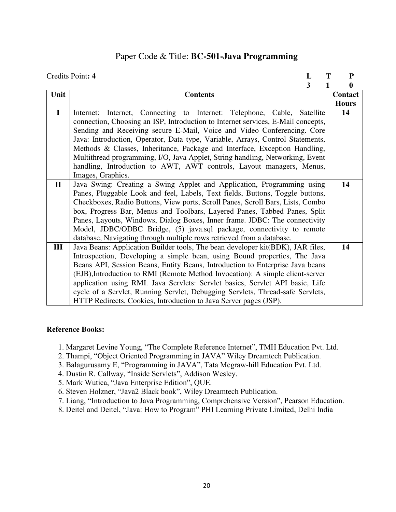### Paper Code & Title: **BC-501-Java Programming**

|               | Credits Point: 4<br>L                                                            | Т | ${\bf P}$    |
|---------------|----------------------------------------------------------------------------------|---|--------------|
|               | 3                                                                                |   | $\bf{0}$     |
| Unit          | <b>Contents</b>                                                                  |   | Contact      |
|               |                                                                                  |   | <b>Hours</b> |
| $\mathbf I$   | Internet, Connecting to Internet: Telephone, Cable, Satellite<br>Internet:       |   | 14           |
|               | connection, Choosing an ISP, Introduction to Internet services, E-Mail concepts, |   |              |
|               | Sending and Receiving secure E-Mail, Voice and Video Conferencing. Core          |   |              |
|               | Java: Introduction, Operator, Data type, Variable, Arrays, Control Statements,   |   |              |
|               | Methods & Classes, Inheritance, Package and Interface, Exception Handling,       |   |              |
|               | Multithread programming, I/O, Java Applet, String handling, Networking, Event    |   |              |
|               | handling, Introduction to AWT, AWT controls, Layout managers, Menus,             |   |              |
|               | Images, Graphics.                                                                |   |              |
| $\mathbf{II}$ | Java Swing: Creating a Swing Applet and Application, Programming using           |   | 14           |
|               | Panes, Pluggable Look and feel, Labels, Text fields, Buttons, Toggle buttons,    |   |              |
|               | Checkboxes, Radio Buttons, View ports, Scroll Panes, Scroll Bars, Lists, Combo   |   |              |
|               | box, Progress Bar, Menus and Toolbars, Layered Panes, Tabbed Panes, Split        |   |              |
|               | Panes, Layouts, Windows, Dialog Boxes, Inner frame. JDBC: The connectivity       |   |              |
|               | Model, JDBC/ODBC Bridge, (5) java.sql package, connectivity to remote            |   |              |
|               | database, Navigating through multiple rows retrieved from a database.            |   |              |
| III           | Java Beans: Application Builder tools, The bean developer kit(BDK), JAR files,   |   | 14           |
|               | Introspection, Developing a simple bean, using Bound properties, The Java        |   |              |
|               | Beans API, Session Beans, Entity Beans, Introduction to Enterprise Java beans    |   |              |
|               | (EJB), Introduction to RMI (Remote Method Invocation): A simple client-server    |   |              |
|               | application using RMI. Java Servlets: Servlet basics, Servlet API basic, Life    |   |              |
|               | cycle of a Servlet, Running Servlet, Debugging Servlets, Thread-safe Servlets,   |   |              |
|               | HTTP Redirects, Cookies, Introduction to Java Server pages (JSP).                |   |              |

- 1. Margaret Levine Young, "The Complete Reference Internet", TMH Education Pvt. Ltd.
- 2. Thampi, "Object Oriented Programming in JAVA" Wiley Dreamtech Publication.
- 3. Balagurusamy E, "Programming in JAVA", Tata Mcgraw-hill Education Pvt. Ltd.
- 4. Dustin R. Callway, "Inside Servlets", Addison Wesley.
- 5. Mark Wutica, "Java Enterprise Edition", QUE.
- 6. Steven Holzner, "Java2 Black book", Wiley Dreamtech Publication.
- 7. Liang, "Introduction to Java Programming, Comprehensive Version", Pearson Education.
- 8. Deitel and Deitel, "Java: How to Program" PHI Learning Private Limited, Delhi India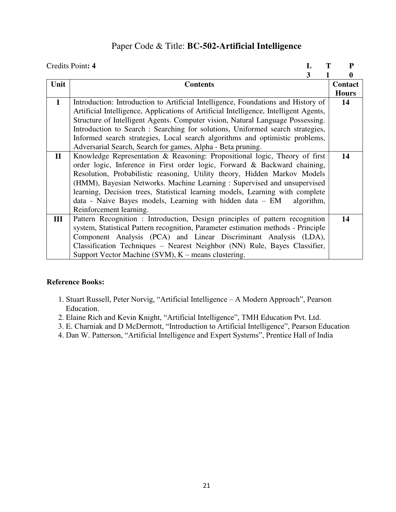## Paper Code & Title: **BC-502-Artificial Intelligence**

|              | Credits Point: 4                                                                      | P            |
|--------------|---------------------------------------------------------------------------------------|--------------|
|              | 3                                                                                     | 0            |
| Unit         | <b>Contents</b>                                                                       | Contact      |
|              |                                                                                       | <b>Hours</b> |
| $\mathbf{I}$ | Introduction: Introduction to Artificial Intelligence, Foundations and History of     | 14           |
|              | Artificial Intelligence, Applications of Artificial Intelligence, Intelligent Agents, |              |
|              | Structure of Intelligent Agents. Computer vision, Natural Language Possessing.        |              |
|              | Introduction to Search : Searching for solutions, Uniformed search strategies,        |              |
|              | Informed search strategies, Local search algorithms and optimistic problems,          |              |
|              | Adversarial Search, Search for games, Alpha - Beta pruning.                           |              |
| $\mathbf{I}$ | Knowledge Representation & Reasoning: Propositional logic, Theory of first            | 14           |
|              | order logic, Inference in First order logic, Forward & Backward chaining,             |              |
|              | Resolution, Probabilistic reasoning, Utility theory, Hidden Markov Models             |              |
|              | (HMM), Bayesian Networks. Machine Learning: Supervised and unsupervised               |              |
|              | learning, Decision trees, Statistical learning models, Learning with complete         |              |
|              | data - Naive Bayes models, Learning with hidden data - EM<br>algorithm,               |              |
|              | Reinforcement learning.                                                               |              |
| Ш            | Pattern Recognition : Introduction, Design principles of pattern recognition          | 14           |
|              | system, Statistical Pattern recognition, Parameter estimation methods - Principle     |              |
|              | Component Analysis (PCA) and Linear Discriminant Analysis (LDA),                      |              |
|              | Classification Techniques – Nearest Neighbor (NN) Rule, Bayes Classifier,             |              |
|              | Support Vector Machine (SVM), $K$ – means clustering.                                 |              |

- 1. Stuart Russell, Peter Norvig, "Artificial Intelligence A Modern Approach", Pearson Education.
- 2. Elaine Rich and Kevin Knight, "Artificial Intelligence", TMH Education Pvt. Ltd.
- 3. E. Charniak and D McDermott, "Introduction to Artificial Intelligence", Pearson Education
- 4. Dan W. Patterson, "Artificial Intelligence and Expert Systems", Prentice Hall of India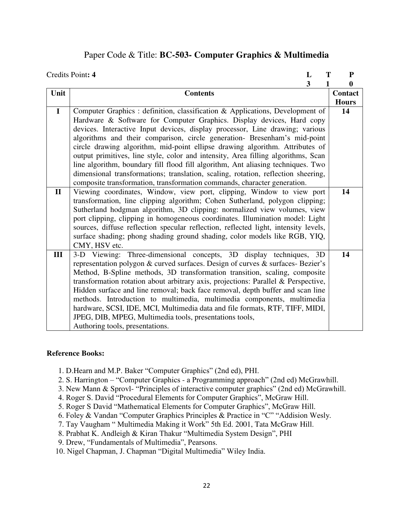### Paper Code & Title: **BC-503- Computer Graphics & Multimedia**

|              | Credits Point: 4<br>Т<br>L                                                          | ${\bf P}$      |
|--------------|-------------------------------------------------------------------------------------|----------------|
|              | $\overline{\mathbf{3}}$<br>1                                                        | $\bf{0}$       |
| Unit         | <b>Contents</b>                                                                     | <b>Contact</b> |
|              |                                                                                     | <b>Hours</b>   |
| $\mathbf I$  | Computer Graphics : definition, classification & Applications, Development of       | 14             |
|              | Hardware & Software for Computer Graphics. Display devices, Hard copy               |                |
|              | devices. Interactive Input devices, display processor, Line drawing; various        |                |
|              | algorithms and their comparison, circle generation- Bresenham's mid-point           |                |
|              | circle drawing algorithm, mid-point ellipse drawing algorithm. Attributes of        |                |
|              | output primitives, line style, color and intensity, Area filling algorithms, Scan   |                |
|              | line algorithm, boundary fill flood fill algorithm, Ant aliasing techniques. Two    |                |
|              | dimensional transformations; translation, scaling, rotation, reflection sheering,   |                |
|              | composite transformation, transformation commands, character generation.            |                |
| $\mathbf{I}$ | Viewing coordinates, Window, view port, clipping, Window to view port               | 14             |
|              | transformation, line clipping algorithm; Cohen Sutherland, polygon clipping;        |                |
|              | Sutherland hodgman algorithm, 3D clipping: normalized view volumes, view            |                |
|              | port clipping, clipping in homogeneous coordinates. Illumination model: Light       |                |
|              | sources, diffuse reflection specular reflection, reflected light, intensity levels, |                |
|              | surface shading; phong shading ground shading, color models like RGB, YIQ,          |                |
|              | CMY, HSV etc.                                                                       |                |
| III          | 3-D Viewing: Three-dimensional concepts, 3D display techniques, 3D                  | 14             |
|              | representation polygon & curved surfaces. Design of curves & surfaces- Bezier's     |                |
|              | Method, B-Spline methods, 3D transformation transition, scaling, composite          |                |
|              | transformation rotation about arbitrary axis, projections: Parallel & Perspective,  |                |
|              | Hidden surface and line removal; back face removal, depth buffer and scan line      |                |
|              | methods. Introduction to multimedia, multimedia components, multimedia              |                |
|              | hardware, SCSI, IDE, MCI, Multimedia data and file formats, RTF, TIFF, MIDI,        |                |
|              | JPEG, DIB, MPEG, Multimedia tools, presentations tools,                             |                |
|              | Authoring tools, presentations.                                                     |                |

- 1. D.Hearn and M.P. Baker "Computer Graphics" (2nd ed), PHI.
- 2. S. Harrington "Computer Graphics a Programming approach" (2nd ed) McGrawhill.
- 3. New Mann & Sprovl- "Principles of interactive computer graphics" (2nd ed) McGrawhill.
- 4. Roger S. David "Procedural Elements for Computer Graphics", McGraw Hill.
- 5. Roger S David "Mathematical Elements for Computer Graphics", McGraw Hill.
- 6. Foley & Vandan "Computer Graphics Principles & Practice in "C" "Addision Wesly.
- 7. Tay Vaugham " Multimedia Making it Work" 5th Ed. 2001, Tata McGraw Hill.
- 8. Prabhat K. Andleigh & Kiran Thakur "Multimedia System Design", PHI
- 9. Drew, "Fundamentals of Multimedia", Pearsons.
- 10. Nigel Chapman, J. Chapman "Digital Multimedia" Wiley India.